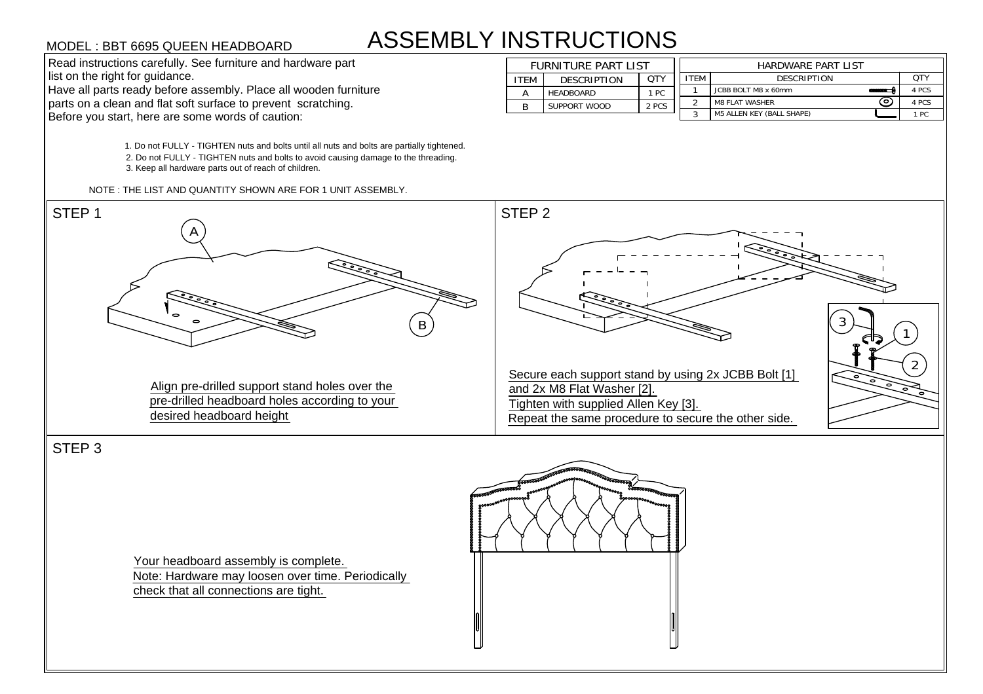## ASSEMBLY INSTRUCTIONS

1. Do not FULLY - TIGHTEN nuts and bolts until all nuts and bolts are partially tightened. 1. Do not FULLY - TIGHTEN nuts and bolts until all nuts and bolts are partially tightene<br>2. Do not FULLY - TIGHTEN nuts and bolts to avoid causing damage to the threading. 2. Do not FULLY - TIGHTEN nuts and bolts to avoid causing damage to the threading.<br>3. Keep all hardware parts out of reach of children. MODEL : BBT 6695 QUEEN HEADBOARD<br>
Read instructions carefully. See furniture and hardware part<br>
list on the right for guidance.<br>
Have all parts ready before assembly. Place all wooden furniture<br>
parts on a clean and flat s

| <b>ASSEMBLY INSTRUCTIONS</b><br>MODEL : BBT 6695 QUEEN HEADBOARD |             |                            |            |             |                                  |            |  |  |
|------------------------------------------------------------------|-------------|----------------------------|------------|-------------|----------------------------------|------------|--|--|
| Read instructions carefully. See furniture and hardware part     |             | <b>FURNITURE PART LIST</b> |            |             | HARDWARE PART LIST               |            |  |  |
| list on the right for guidance.                                  | <b>ITEM</b> | <b>DESCRIPTION</b>         | <b>OTY</b> | <b>ITEM</b> | <b>DESCRIPTION</b>               | <b>OTY</b> |  |  |
| Have all parts ready before assembly. Place all wooden furniture |             | HEADBOARD                  | 1 PC       |             | JCBB BOLT M8 x 60mm              | 4 PCS      |  |  |
| parts on a clean and flat soft surface to prevent scratching.    |             | SUPPORT WOOD               | 2 PCS      |             | <b>M8 FLAT WASHER</b>            | 4 PCS      |  |  |
| Before you start, here are some words of caution:                |             |                            |            |             | <b>M5 ALLEN KEY (BALL SHAPE)</b> | 1 PC       |  |  |



STEP 3

Your headboard assembly is complete. Note: Hardware may loosen over time. Periodically